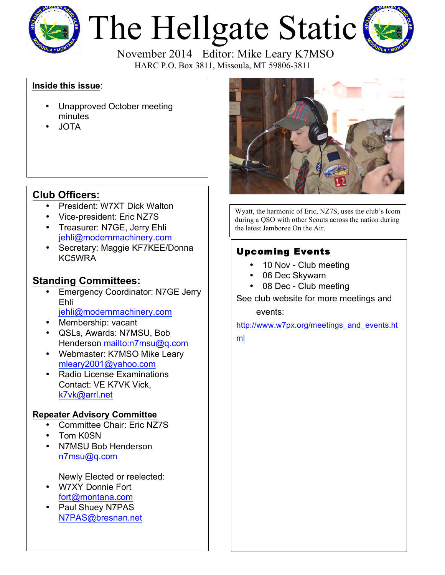

# The Hellgate Static



HARC P.O. Box 3811, Missoula, MT 59806-3811

#### **Inside this issue**:

- Unapproved October meeting minutes
- JOTA

## **Club Officers:**

- President: W7XT Dick Walton
- Vice-president: Eric NZ7S
- Treasurer: N7GE, Jerry Ehli jehli@modernmachinery.com
- Secretary: Maggie KF7KEE/Donna KC5WRA

### **Standing Committees:**

- **Emergency Coordinator: N7GE Jerry** Ehli jehli@modernmachinery.com
- Membership: vacant
- QSLs, Awards: N7MSU, Bob Henderson mailto:n7msu@q.com
- Webmaster: K7MSO Mike Leary mleary2001@yahoo.com
- Radio License Examinations Contact: VE K7VK Vick, k7vk@arrl.net

#### **Repeater Advisory Committee**

- Committee Chair: Eric NZ7S
- Tom K0SN
- N7MSU Bob Henderson n7msu@q.com

Newly Elected or reelected:

- W7XY Donnie Fort fort@montana.com
- Paul Shuey N7PAS N7PAS@bresnan.net



Wyatt, the harmonic of Eric, NZ7S, uses the club's Icom during a QSO with other Scouts across the nation during the latest Jamboree On the Air.

## Upcoming Events

- 10 Nov Club meeting
- 06 Dec Skywarn
- 08 Dec Club meeting

See club website for more meetings and

events:

http://www.w7px.org/meetings\_and\_events.ht

ml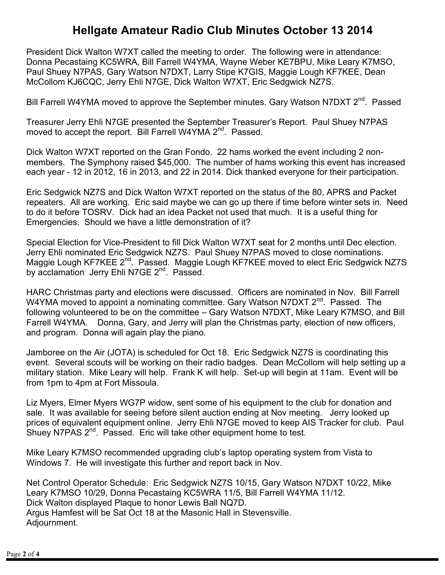# **Hellgate Amateur Radio Club Minutes October 13 2014**

President Dick Walton W7XT called the meeting to order. The following were in attendance: Donna Pecastaing KC5WRA, Bill Farrell W4YMA, Wayne Weber KE7BPU, Mike Leary K7MSO, Paul Shuey N7PAS, Gary Watson N7DXT, Larry Stipe K7GIS, Maggie Lough KF7KEE, Dean McCollom KJ6CQC, Jerry Ehli N7GE, Dick Walton W7XT, Eric Sedgwick NZ7S.

Bill Farrell W4YMA moved to approve the September minutes. Gary Watson N7DXT 2<sup>nd</sup>. Passed

Treasurer Jerry Ehli N7GE presented the September Treasurer's Report. Paul Shuey N7PAS moved to accept the report. Bill Farrell W4YMA 2<sup>nd</sup>. Passed.

Dick Walton W7XT reported on the Gran Fondo. 22 hams worked the event including 2 nonmembers. The Symphony raised \$45,000. The number of hams working this event has increased each year - 12 in 2012, 16 in 2013, and 22 in 2014. Dick thanked everyone for their participation.

Eric Sedgwick NZ7S and Dick Walton W7XT reported on the status of the 80, APRS and Packet repeaters. All are working. Eric said maybe we can go up there if time before winter sets in. Need to do it before TOSRV. Dick had an idea Packet not used that much. It is a useful thing for Emergencies. Should we have a little demonstration of it?

Special Election for Vice-President to fill Dick Walton W7XT seat for 2 months until Dec election. Jerry Ehli nominated Eric Sedgwick NZ7S. Paul Shuey N7PAS moved to close nominations. Maggie Lough KF7KEE 2<sup>nd</sup>. Passed. Maggie Lough KF7KEE moved to elect Eric Sedgwick NZ7S by acclamation Jerry Ehli N7GE 2<sup>nd</sup>. Passed.

HARC Christmas party and elections were discussed. Officers are nominated in Nov. Bill Farrell W4YMA moved to appoint a nominating committee. Gary Watson N7DXT  $2^{nd}$ . Passed. The following volunteered to be on the committee – Gary Watson N7DXT, Mike Leary K7MSO, and Bill Farrell W4YMA. Donna, Gary, and Jerry will plan the Christmas party, election of new officers, and program. Donna will again play the piano.

Jamboree on the Air (JOTA) is scheduled for Oct 18. Eric Sedgwick NZ7S is coordinating this event. Several scouts will be working on their radio badges. Dean McCollom will help setting up a military station. Mike Leary will help. Frank K will help. Set-up will begin at 11am. Event will be from 1pm to 4pm at Fort Missoula.

Liz Myers, Elmer Myers WG7P widow, sent some of his equipment to the club for donation and sale. It was available for seeing before silent auction ending at Nov meeting. Jerry looked up prices of equivalent equipment online. Jerry Ehli N7GE moved to keep AIS Tracker for club. Paul Shuey N7PAS 2<sup>nd</sup>. Passed. Eric will take other equipment home to test.

Mike Leary K7MSO recommended upgrading club's laptop operating system from Vista to Windows 7. He will investigate this further and report back in Nov.

Net Control Operator Schedule: Eric Sedgwick NZ7S 10/15, Gary Watson N7DXT 10/22, Mike Leary K7MSO 10/29, Donna Pecastaing KC5WRA 11/5, Bill Farrell W4YMA 11/12. Dick Walton displayed Plaque to honor Lewis Ball NQ7D. Argus Hamfest will be Sat Oct 18 at the Masonic Hall in Stevensville. Adjournment.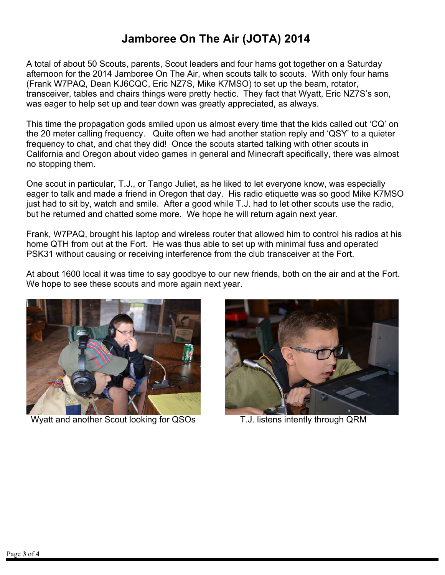# **Jamboree On The Air (JOTA) 2014**

A total of about 50 Scouts, parents, Scout leaders and four hams got together on a Saturday afternoon for the 2014 Jamboree On The Air, when scouts talk to scouts. With only four hams (Frank W7PAQ, Dean KJ6CQC, Eric NZ7S, Mike K7MSO) to set up the beam, rotator, transceiver, tables and chairs things were pretty hectic. They fact that Wyatt, Eric NZ7S's son, was eager to help set up and tear down was greatly appreciated, as always.

This time the propagation gods smiled upon us almost every time that the kids called out 'CQ' on the 20 meter calling frequency. Quite often we had another station reply and 'QSY' to a quieter frequency to chat, and chat they did! Once the scouts started talking with other scouts in California and Oregon about video games in general and Minecraft specifically, there was almost no stopping them.

One scout in particular, T.J., or Tango Juliet, as he liked to let everyone know, was especially eager to talk and made a friend in Oregon that day. His radio etiquette was so good Mike K7MSO just had to sit by, watch and smile. After a good while T.J. had to let other scouts use the radio, but he returned and chatted some more. We hope he will return again next year.

Frank, W7PAQ, brought his laptop and wireless router that allowed him to control his radios at his home QTH from out at the Fort. He was thus able to set up with minimal fuss and operated PSK31 without causing or receiving interference from the club transceiver at the Fort.

At about 1600 local it was time to say goodbye to our new friends, both on the air and at the Fort. We hope to see these scouts and more again next year.



Wyatt and another Scout looking for QSOs T.J. listens intently through QRM